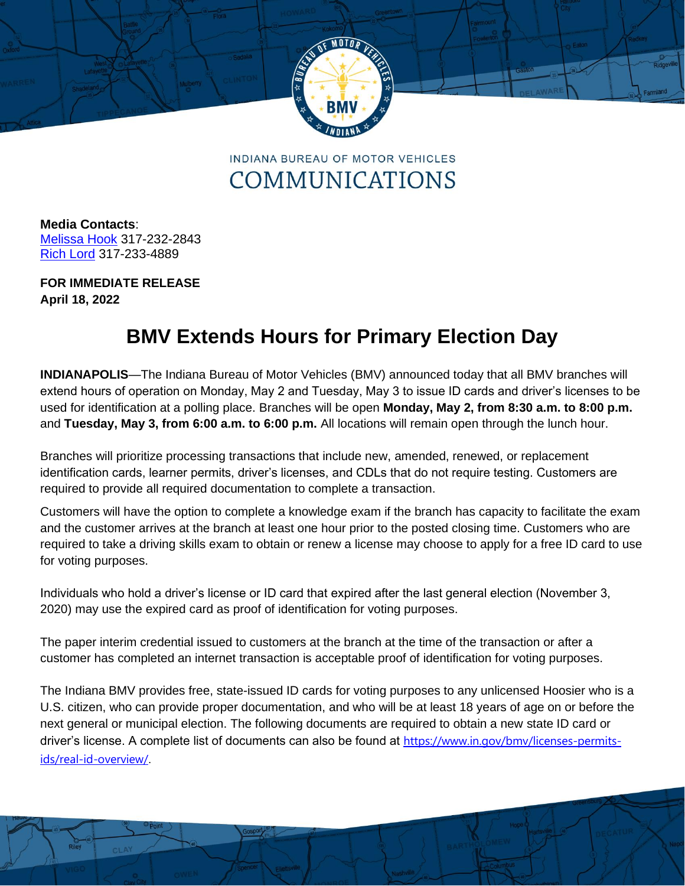

**INDIANA BUREAU OF MOTOR VEHICLES** COMMUNICATIONS

**Media Contacts**: [Melissa Hook](mailto:mhook@bmv.in.gov) 317-232-2843 [Rich Lord](mailto:rlord@bmv.in.gov) 317-233-4889

**FOR IMMEDIATE RELEASE April 18, 2022**

## **BMV Extends Hours for Primary Election Day**

**INDIANAPOLIS**—The Indiana Bureau of Motor Vehicles (BMV) announced today that all BMV branches will extend hours of operation on Monday, May 2 and Tuesday, May 3 to issue ID cards and driver's licenses to be used for identification at a polling place. Branches will be open **Monday, May 2, from 8:30 a.m. to 8:00 p.m.**  and **Tuesday, May 3, from 6:00 a.m. to 6:00 p.m.** All locations will remain open through the lunch hour.

Branches will prioritize processing transactions that include new, amended, renewed, or replacement identification cards, learner permits, driver's licenses, and CDLs that do not require testing. Customers are required to provide all required documentation to complete a transaction.

Customers will have the option to complete a knowledge exam if the branch has capacity to facilitate the exam and the customer arrives at the branch at least one hour prior to the posted closing time. Customers who are required to take a driving skills exam to obtain or renew a license may choose to apply for a free ID card to use for voting purposes.

Individuals who hold a driver's license or ID card that expired after the last general election (November 3, 2020) may use the expired card as proof of identification for voting purposes.

The paper interim credential issued to customers at the branch at the time of the transaction or after a customer has completed an internet transaction is acceptable proof of identification for voting purposes.

The Indiana BMV provides free, state-issued ID cards for voting purposes to any unlicensed Hoosier who is a U.S. citizen, who can provide proper documentation, and who will be at least 18 years of age on or before the next general or municipal election. The following documents are required to obtain a new state ID card or driver's license. A complete list of documents can also be found at [https://www.in.gov/bmv/licenses-permits](https://www.in.gov/bmv/licenses-permits-ids/real-id-overview/)[ids/real-id-overview/](https://www.in.gov/bmv/licenses-permits-ids/real-id-overview/).